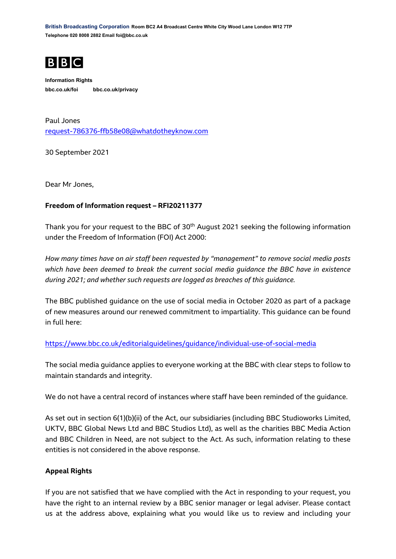**British Broadcasting Corporation Room BC2 A4 Broadcast Centre White City Wood Lane London W12 7TP Telephone 020 8008 2882 Email foi@bbc.co.uk**



**Information Rights bbc.co.uk/foi bbc.co.uk/privacy**

Paul Jones [request-786376-ffb58e08@whatdotheyknow.com](mailto:xxxxxxxxxxxxxxxxxxxxxxx@xxxxxxxxxxxxxx.xxx)

30 September 2021

Dear Mr Jones,

## **Freedom of Information request – RFI20211377**

Thank you for your request to the BBC of 30<sup>th</sup> August 2021 seeking the following information under the Freedom of Information (FOI) Act 2000:

*How many times have on air staff been requested by "management" to remove social media posts which have been deemed to break the current social media guidance the BBC have in existence during 2021; and whether such requests are logged as breaches of this guidance.*

The BBC published guidance on the use of social media in October 2020 as part of a package of new measures around our renewed commitment to impartiality. This guidance can be found in full here:

## <https://www.bbc.co.uk/editorialguidelines/guidance/individual-use-of-social-media>

The social media guidance applies to everyone working at the BBC with clear steps to follow to maintain standards and integrity.

We do not have a central record of instances where staff have been reminded of the guidance.

As set out in section 6(1)(b)(ii) of the Act, our subsidiaries (including BBC Studioworks Limited, UKTV, BBC Global News Ltd and BBC Studios Ltd), as well as the charities BBC Media Action and BBC Children in Need, are not subject to the Act. As such, information relating to these entities is not considered in the above response.

## **Appeal Rights**

If you are not satisfied that we have complied with the Act in responding to your request, you have the right to an internal review by a BBC senior manager or legal adviser. Please contact us at the address above, explaining what you would like us to review and including your